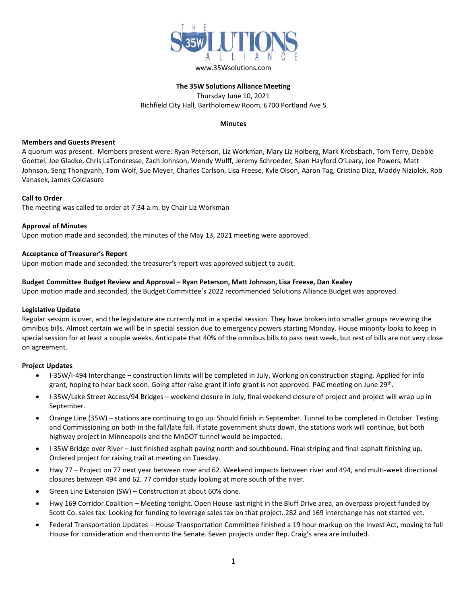

# **The 35W Solutions Alliance Meeting** Thursday June 10, 2021 Richfield City Hall, Bartholomew Room, 6700 Portland Ave S

## **Minutes**

### **Members and Guests Present**

A quorum was present. Members present were: Ryan Peterson, Liz Workman, Mary Liz Holberg, Mark Krebsbach, Tom Terry, Debbie Goettel, Joe Gladke, Chris LaTondresse, Zach Johnson, Wendy Wulff, Jeremy Schroeder, Sean Hayford O'Leary, Joe Powers, Matt Johnson, Seng Thongvanh, Tom Wolf, Sue Meyer, Charles Carlson, Lisa Freese, Kyle Olson, Aaron Tag, Cristina Diaz, Maddy Niziolek, Rob Vanasek, James Colclasure

#### **Call to Order**

The meeting was called to order at 7:34 a.m. by Chair Liz Workman

#### **Approval of Minutes**

Upon motion made and seconded, the minutes of the May 13, 2021 meeting were approved.

#### **Acceptance of Treasurer's Report**

Upon motion made and seconded, the treasurer's report was approved subject to audit.

#### **Budget Committee Budget Review and Approval – Ryan Peterson, Matt Johnson, Lisa Freese, Dan Kealey**

Upon motion made and seconded, the Budget Committee's 2022 recommended Solutions Alliance Budget was approved.

#### **Legislative Update**

Regular session is over, and the legislature are currently not in a special session. They have broken into smaller groups reviewing the omnibus bills. Almost certain we will be in special session due to emergency powers starting Monday. House minority looks to keep in special session for at least a couple weeks. Anticipate that 40% of the omnibus bills to pass next week, but rest of bills are not very close on agreement.

#### **Project Updates**

- I-35W/I-494 Interchange construction limits will be completed in July. Working on construction staging. Applied for info grant, hoping to hear back soon. Going after raise grant if info grant is not approved. PAC meeting on June 29<sup>th</sup>.
- I-35W/Lake Street Access/94 Bridges weekend closure in July, final weekend closure of project and project will wrap up in September.
- Orange Line (35W) stations are continuing to go up. Should finish in September. Tunnel to be completed in October. Testing and Commissioning on both in the fall/late fall. If state government shuts down, the stations work will continue, but both highway project in Minneapolis and the MnDOT tunnel would be impacted.
- I-35W Bridge over River Just finished asphalt paving north and southbound. Final striping and final asphalt finishing up. Ordered project for raising trail at meeting on Tuesday.
- Hwy 77 Project on 77 next year between river and 62. Weekend impacts between river and 494, and multi-week directional closures between 494 and 62. 77 corridor study looking at more south of the river.
- Green Line Extension (SW) Construction at about 60% done.
- Hwy 169 Corridor Coalition Meeting tonight. Open House last night in the Bluff Drive area, an overpass project funded by Scott Co. sales tax. Looking for funding to leverage sales tax on that project. 282 and 169 interchange has not started yet.
- Federal Transportation Updates House Transportation Committee finished a 19 hour markup on the Invest Act, moving to full House for consideration and then onto the Senate. Seven projects under Rep. Craig's area are included.